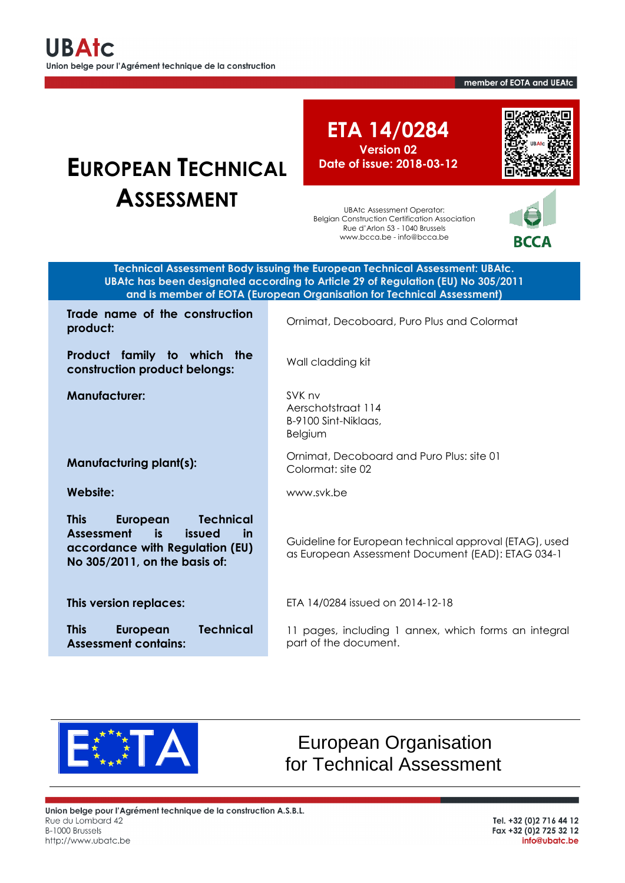member of EOTA and UEAtc

# **EUROPEAN TECHNICAL ASSESSMENT**

**ETA 14/0284 Version 02 Date of issue: 2018-03-12**

UBAtc Assessment Operator: Belgian Construction Certification Association Rue d'Arlon 53 - 1040 Brussels www.bcca.be - info@bcca.be



**RCCA** 

**Technical Assessment Body issuing the European Technical Assessment: UBAtc. UBAtc has been designated according to Article 29 of Regulation (EU) No 305/2011 and is member of EOTA (European Organisation for Technical Assessment)**

**Trade name of the construction product: product: product: product: product: product: product: product: product: product: product: product: product: product: product: product: product: product: product: product: p** 

**Product family to which the construction product belongs:** Wall cladding kit

**This European Technical Assessment is issued in accordance with Regulation (EU) No 305/2011, on the basis of:**

**This European Technical** 

**Manufacturer:** SVK nv

Aerschotstraat 114 B-9100 Sint-Niklaas, Belgium

**Manufacturing plant(s):** Ornimat, Decoboard and Puro Plus: site 01 Colormat: site 02

**Website:** www.svk.be

Guideline for European technical approval (ETAG), used as European Assessment Document (EAD): ETAG 034-1

**This version replaces:** ETA 14/0284 issued on 2014-12-18

11 pages, including 1 annex, which forms an integral part of the document.



**Assessment contains:**

European Organisation for Technical Assessment

Union belge pour l'Agrément technique de la construction A.S.B.L. Rue du Lombard 42 B-1000 Brussels http://www.ubatc.be

Tel. +32 (0)2 716 44 12 Fax +32 (0) 2 725 32 12 info@ubatc.be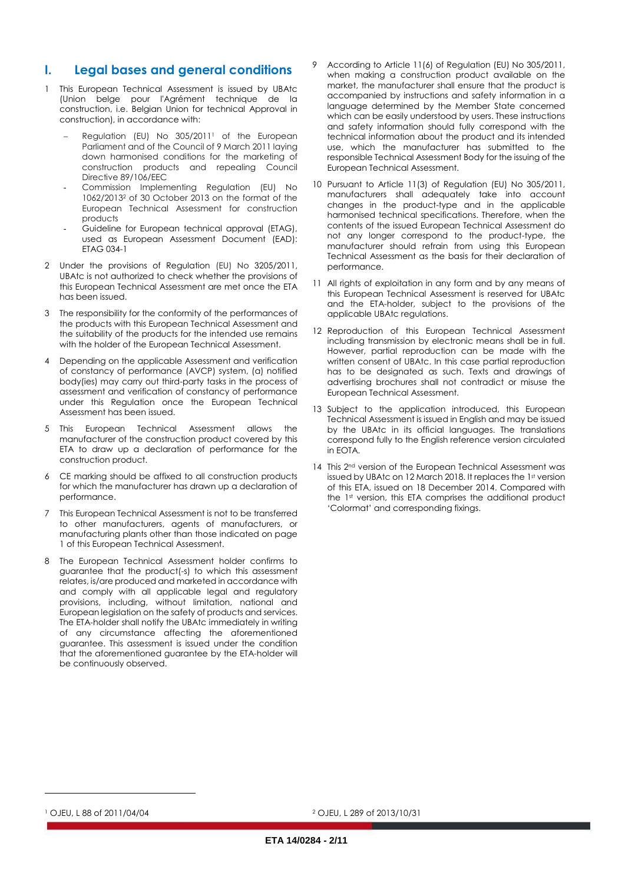## **I. Legal bases and general conditions**

- 1 This European Technical Assessment is issued by UBAtc (Union belge pour l'Agrément technique de la construction, i.e. Belgian Union for technical Approval in construction), in accordance with:
	- Regulation (EU) No 305/2011<sup>1</sup> of the European Parliament and of the Council of 9 March 2011 laying down harmonised conditions for the marketing of construction products and repealing Council Directive 89/106/EEC
	- Commission Implementing Regulation (EU) No 1062/2013<sup>2</sup> of 30 October 2013 on the format of the European Technical Assessment for construction products
	- Guideline for European technical approval (ETAG), used as European Assessment Document (EAD): ETAG 034-1
- 2 Under the provisions of Regulation (EU) No 3205/2011, UBAtc is not authorized to check whether the provisions of this European Technical Assessment are met once the ETA has been issued.
- 3 The responsibility for the conformity of the performances of the products with this European Technical Assessment and the suitability of the products for the intended use remains with the holder of the European Technical Assessment.
- Depending on the applicable Assessment and verification of constancy of performance (AVCP) system, (a) notified body(ies) may carry out third-party tasks in the process of assessment and verification of constancy of performance under this Regulation once the European Technical Assessment has been issued.
- 5 This European Technical Assessment allows the manufacturer of the construction product covered by this ETA to draw up a declaration of performance for the construction product.
- 6 CE marking should be affixed to all construction products for which the manufacturer has drawn up a declaration of performance.
- 7 This European Technical Assessment is not to be transferred to other manufacturers, agents of manufacturers, or manufacturing plants other than those indicated on page 1 of this European Technical Assessment.
- 8 The European Technical Assessment holder confirms to guarantee that the product(-s) to which this assessment relates, is/are produced and marketed in accordance with and comply with all applicable legal and regulatory provisions, including, without limitation, national and European legislation on the safety of products and services. The ETA-holder shall notify the UBAtc immediately in writing of any circumstance affecting the aforementioned guarantee. This assessment is issued under the condition that the aforementioned guarantee by the ETA-holder will be continuously observed.
- According to Article 11(6) of Regulation (EU) No 305/2011, when making a construction product available on the market, the manufacturer shall ensure that the product is accompanied by instructions and safety information in a language determined by the Member State concerned which can be easily understood by users. These instructions and safety information should fully correspond with the technical information about the product and its intended use, which the manufacturer has submitted to the responsible Technical Assessment Body for the issuing of the European Technical Assessment.
- 10 Pursuant to Article 11(3) of Regulation (EU) No 305/2011, manufacturers shall adequately take into account changes in the product-type and in the applicable harmonised technical specifications. Therefore, when the contents of the issued European Technical Assessment do not any longer correspond to the product-type, the manufacturer should refrain from using this European Technical Assessment as the basis for their declaration of performance.
- 11 All rights of exploitation in any form and by any means of this European Technical Assessment is reserved for UBAtc and the ETA-holder, subject to the provisions of the applicable UBAtc regulations.
- 12 Reproduction of this European Technical Assessment including transmission by electronic means shall be in full. However, partial reproduction can be made with the written consent of UBAtc. In this case partial reproduction has to be designated as such. Texts and drawings of advertising brochures shall not contradict or misuse the European Technical Assessment.
- 13 Subject to the application introduced, this European Technical Assessment is issued in English and may be issued by the UBAtc in its official languages. The translations correspond fully to the English reference version circulated in EOTA.
- 14 This 2<sup>nd</sup> version of the European Technical Assessment was issued by UBAtc on 12 March 2018. It replaces the 1st version of this ETA, issued on 18 December 2014. Compared with the 1st version, this ETA comprises the additional product 'Colormat' and corresponding fixings.

<sup>1</sup> OJEU, L 88 of 2011/04/04

l

<sup>2</sup> OJEU, L 289 of 2013/10/31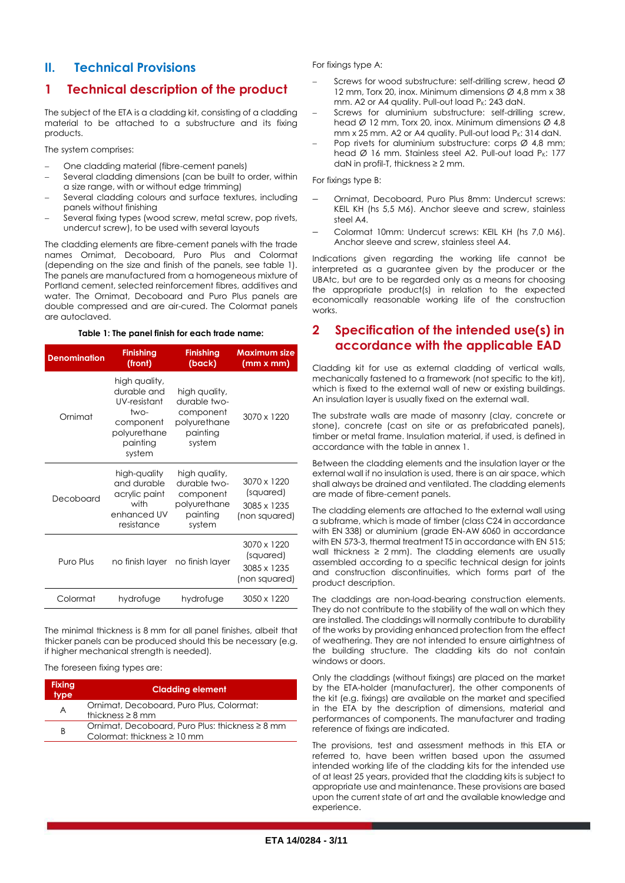# **II. Technical Provisions**

# **1 Technical description of the product**

The subject of the ETA is a cladding kit, consisting of a cladding material to be attached to a substructure and its fixing products.

The system comprises:

- One cladding material (fibre-cement panels)
- Several cladding dimensions (can be built to order, within a size range, with or without edge trimming)
- Several cladding colours and surface textures, including panels without finishing
- Several fixing types (wood screw, metal screw, pop rivets, undercut screw), to be used with several layouts

The cladding elements are fibre-cement panels with the trade names Ornimat, Decoboard, Puro Plus and Colormat (depending on the size and finish of the panels, see table 1). The panels are manufactured from a homogeneous mixture of Portland cement, selected reinforcement fibres, additives and water. The Ornimat, Decoboard and Puro Plus panels are double compressed and are air-cured. The Colormat panels are autoclaved.

## **Table 1: The panel finish for each trade name:**

| <b>Denomination</b> | <b>Finishing</b><br>(front)                                                                             | <b>Finishing</b><br>(back)                                                       | <b>Maximum size</b><br>(mm x mm)                         |
|---------------------|---------------------------------------------------------------------------------------------------------|----------------------------------------------------------------------------------|----------------------------------------------------------|
| Ornimat             | high quality,<br>durable and<br>UV-resistant<br>two-<br>component<br>polyurethane<br>painting<br>system | high quality,<br>durable two-<br>component<br>polyurethane<br>painting<br>system | 3070 x 1220                                              |
| Decoboard           | high-quality<br>and durable<br>acrylic paint<br>with<br>enhanced UV<br>resistance                       | high quality,<br>durable two-<br>component<br>polyurethane<br>painting<br>system | 3070 x 1220<br>(squared)<br>3085 x 1235<br>(non squared) |
| Puro Plus           | no finish layer no finish layer                                                                         |                                                                                  | 3070 x 1220<br>(squared)<br>3085 x 1235<br>(non squared) |
| Colormat            | hydrofuge                                                                                               | hydrofuge                                                                        | 3050 x 1220                                              |

The minimal thickness is 8 mm for all panel finishes, albeit that thicker panels can be produced should this be necessary (e.g. if higher mechanical strength is needed).

The foreseen fixing types are:

| <b>Fixing</b><br>type <sup>1</sup> | <b>Cladding element</b>                                                             |
|------------------------------------|-------------------------------------------------------------------------------------|
| A                                  | Ornimat, Decoboard, Puro Plus, Colormat:<br>thickness $\geq 8$ mm                   |
| B                                  | Ornimat, Decoboard, Puro Plus: thickness ≥ 8 mm<br>Colormat: thickness $\geq 10$ mm |

For fixings type A:

- Screws for wood substructure: self-drilling screw, head Ø 12 mm, Torx 20, inox. Minimum dimensions Ø 4,8 mm x 38 mm. A2 or A4 quality. Pull-out load  $P_K$ : 243 daN.
- Screws for aluminium substructure: self-drilling screw, head Ø 12 mm, Torx 20, inox. Minimum dimensions Ø 4,8 mm x 25 mm. A2 or A4 quality. Pull-out load  $P_K$ : 314 daN.
- Pop rivets for aluminium substructure: corps Ø 4,8 mm; head  $\varnothing$  16 mm. Stainless steel A2. Pull-out load P<sub>K</sub>: 177 daN in profil-T, thickness ≥ 2 mm.

For fixings type B:

- Ornimat, Decoboard, Puro Plus 8mm: Undercut screws: KEIL KH (hs 5,5 M6). Anchor sleeve and screw, stainless steel A4.
- Colormat 10mm: Undercut screws: KEIL KH (hs 7,0 M6). Anchor sleeve and screw, stainless steel A4.

Indications given regarding the working life cannot be interpreted as a guarantee given by the producer or the UBAtc, but are to be regarded only as a means for choosing the appropriate product(s) in relation to the expected economically reasonable working life of the construction works.

## **2 Specification of the intended use(s) in accordance with the applicable EAD**

Cladding kit for use as external cladding of vertical walls, mechanically fastened to a framework (not specific to the kit), which is fixed to the external wall of new or existing buildings. An insulation layer is usually fixed on the external wall.

The substrate walls are made of masonry (clay, concrete or stone), concrete (cast on site or as prefabricated panels), timber or metal frame. Insulation material, if used, is defined in accordance with the table in annex 1.

Between the cladding elements and the insulation layer or the external wall if no insulation is used, there is an air space, which shall always be drained and ventilated. The cladding elements are made of fibre-cement panels.

The cladding elements are attached to the external wall using a subframe, which is made of timber (class C24 in accordance with EN 338) or aluminium (grade EN-AW 6060 in accordance with EN 573-3, thermal treatment T5 in accordance with EN 515; wall thickness  $\geq 2$  mm). The cladding elements are usually assembled according to a specific technical design for joints and construction discontinuities, which forms part of the product description.

The claddings are non-load-bearing construction elements. They do not contribute to the stability of the wall on which they are installed. The claddings will normally contribute to durability of the works by providing enhanced protection from the effect of weathering. They are not intended to ensure airtightness of the building structure. The cladding kits do not contain windows or doors.

Only the claddings (without fixings) are placed on the market by the ETA-holder (manufacturer), the other components of the kit (e.g. fixings) are available on the market and specified in the ETA by the description of dimensions, material and performances of components. The manufacturer and trading reference of fixings are indicated.

The provisions, test and assessment methods in this ETA or referred to, have been written based upon the assumed intended working life of the cladding kits for the intended use of at least 25 years, provided that the cladding kits is subject to appropriate use and maintenance. These provisions are based upon the current state of art and the available knowledge and experience.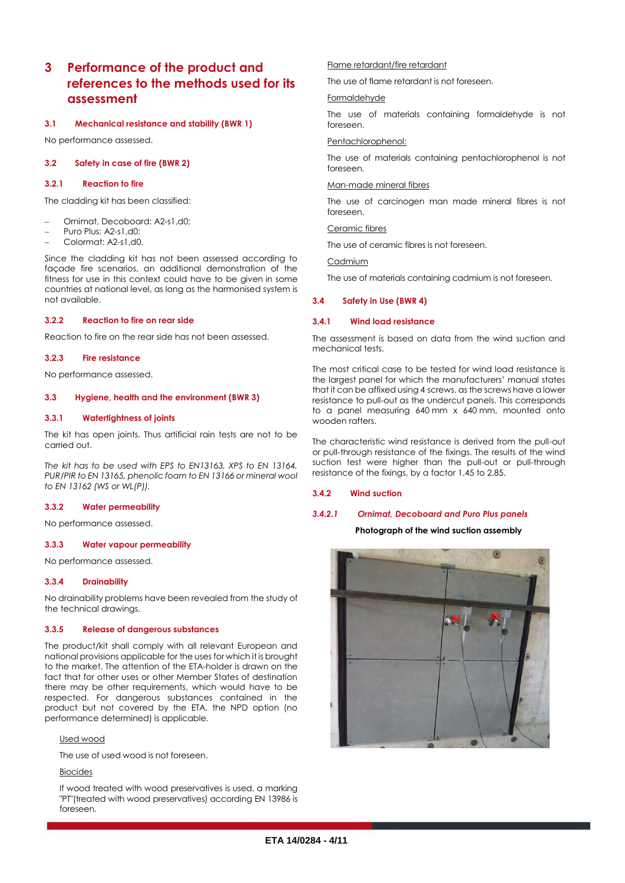# **3 Performance of the product and references to the methods used for its assessment**

#### **3.1 Mechanical resistance and stability (BWR 1)**

No performance assessed.

#### **3.2 Safety in case of fire (BWR 2)**

#### **3.2.1 Reaction to fire**

The cladding kit has been classified:

- Ornimat, Decoboard: A2-s1,d0;
- Puro Plus: A2-s1,d0;
- Colormat: A2-s1,d0.

Since the cladding kit has not been assessed according to façade fire scenarios, an additional demonstration of the fitness for use in this context could have to be given in some countries at national level, as long as the harmonised system is not available.

#### **3.2.2 Reaction to fire on rear side**

Reaction to fire on the rear side has not been assessed.

#### **3.2.3 Fire resistance**

No performance assessed.

#### **3.3 Hygiene, health and the environment (BWR 3)**

#### **3.3.1 Watertightness of joints**

The kit has open joints. Thus artificial rain tests are not to be carried out.

*The kit has to be used with EPS to EN13163, XPS to EN 13164, PUR/PIR to EN 13165, phenolic foam to EN 13166 or mineral wool to EN 13162 (WS or WL(P)).*

#### **3.3.2 Water permeability**

No performance assessed.

#### **3.3.3 Water vapour permeability**

No performance assessed.

#### **3.3.4 Drainability**

No drainability problems have been revealed from the study of the technical drawings.

#### **3.3.5 Release of dangerous substances**

The product/kit shall comply with all relevant European and national provisions applicable for the uses for which it is brought to the market. The attention of the ETA-holder is drawn on the fact that for other uses or other Member States of destination there may be other requirements, which would have to be respected. For dangerous substances contained in the product but not covered by the ETA, the NPD option (no performance determined) is applicable.

### Used wood

The use of used wood is not foreseen.

#### Biocides

If wood treated with wood preservatives is used, a marking "PT"(treated with wood preservatives) according EN 13986 is foreseen.

#### Flame retardant/fire retardant

The use of flame retardant is not foreseen.

#### **Formaldehyde**

The use of materials containing formaldehyde is not foreseen.

#### Pentachlorophenol:

The use of materials containing pentachlorophenol is not foreseen.

#### Man-made mineral fibres

The use of carcinogen man made mineral fibres is not foreseen.

#### Ceramic fibres

The use of ceramic fibres is not foreseen.

Cadmium

The use of materials containing cadmium is not foreseen.

#### **3.4 Safety in Use (BWR 4)**

#### **3.4.1 Wind load resistance**

The assessment is based on data from the wind suction and mechanical tests.

The most critical case to be tested for wind load resistance is the largest panel for which the manufacturers' manual states that it can be affixed using 4 screws, as the screws have a lower resistance to pull-out as the undercut panels. This corresponds to a panel measuring 640 mm x 640 mm, mounted onto wooden rafters.

The characteristic wind resistance is derived from the pull-out or pull-through resistance of the fixings. The results of the wind suction test were higher than the pull-out or pull-through resistance of the fixings, by a factor 1,45 to 2,85.

#### **3.4.2 Wind suction**

#### *3.4.2.1 Ornimat, Decoboard and Puro Plus panels*

#### **Photograph of the wind suction assembly**

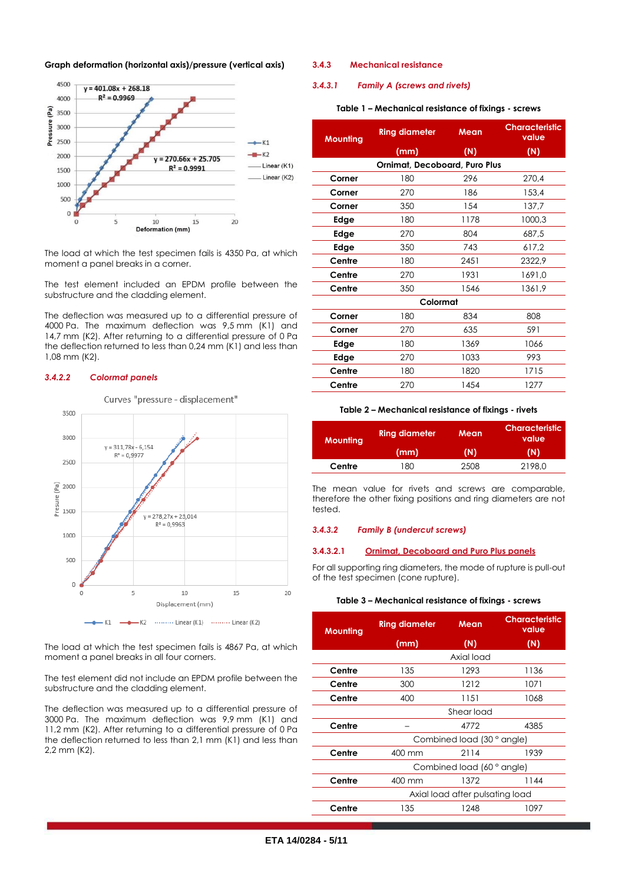



The load at which the test specimen fails is 4350 Pa, at which moment a panel breaks in a corner.

The test element included an EPDM profile between the substructure and the cladding element.

The deflection was measured up to a differential pressure of 4000 Pa. The maximum deflection was 9,5 mm (K1) and 14,7 mm (K2). After returning to a differential pressure of 0 Pa the deflection returned to less than 0,24 mm (K1) and less than 1,08 mm (K2).

#### *3.4.2.2 Colormat panels*

Curves "pressure - displacement"



The load at which the test specimen fails is 4867 Pa, at which moment a panel breaks in all four corners.

The test element did not include an EPDM profile between the substructure and the cladding element.

The deflection was measured up to a differential pressure of 3000 Pa. The maximum deflection was 9,9 mm (K1) and 11,2 mm (K2). After returning to a differential pressure of 0 Pa the deflection returned to less than 2,1 mm (K1) and less than 2,2 mm (K2).

#### **3.4.3 Mechanical resistance**

#### *3.4.3.1 Family A (screws and rivets)*

#### **Table 1 – Mechanical resistance of fixings - screws**

| <b>Mounting</b> | <b>Ring diameter</b>                 | Mean | <b>Characteristic</b><br>value |  |  |
|-----------------|--------------------------------------|------|--------------------------------|--|--|
|                 | (mm)                                 | (N)  | (N)                            |  |  |
|                 | <b>Ornimat, Decoboard, Puro Plus</b> |      |                                |  |  |
| Corner          | 180                                  | 296  | 270,4                          |  |  |
| Corner          | 270                                  | 186  | 153,4                          |  |  |
| Corner          | 350                                  | 154  | 137,7                          |  |  |
| Edge            | 180                                  | 1178 | 1000,3                         |  |  |
| Edge            | 270                                  | 804  | 687,5                          |  |  |
| Edge            | 350                                  | 743  | 617,2                          |  |  |
| Centre          | 180                                  | 2451 | 2322.9                         |  |  |
| Centre          | 270                                  | 1931 | 1691,0                         |  |  |
| Centre          | 350                                  | 1546 | 1361,9                         |  |  |
|                 | Colormat                             |      |                                |  |  |
| Corner          | 180                                  | 834  | 808                            |  |  |
| Corner          | 270                                  | 635  | 591                            |  |  |
| Edge            | 180                                  | 1369 | 1066                           |  |  |
| Edge            | 270                                  | 1033 | 993                            |  |  |
| Centre          | 180                                  | 1820 | 1715                           |  |  |
| Centre          | 270                                  | 1454 | 1277                           |  |  |

#### **Table 2 – Mechanical resistance of fixings - rivets**

| <b>Mounting</b> | <b>Ring diameter</b> | Mean | <b>Characteristic</b><br>value |  |
|-----------------|----------------------|------|--------------------------------|--|
|                 | (mm)                 | (N)  | (N)                            |  |
| Centre          | 180                  | 2508 | 2198.0                         |  |

The mean value for rivets and screws are comparable, therefore the other fixing positions and ring diameters are not tested.

#### <span id="page-4-0"></span>*3.4.3.2 Family B (undercut screws)*

#### **3.4.3.2.1 Ornimat, Decoboard and Puro Plus panels**

For all supporting ring diameters, the mode of rupture is pull-out of the test specimen (cone rupture).

#### **Table 3 – Mechanical resistance of fixings - screws**

| Mounting | <b>Ring diameter</b>            | Mean                      | <b>Characteristic</b><br>value |
|----------|---------------------------------|---------------------------|--------------------------------|
|          | (mm)                            | (N)                       | (N)                            |
|          |                                 | Axial load                |                                |
| Centre   | 135                             | 1293                      | 1136                           |
| Centre   | 300                             | 1212                      | 1071                           |
| Centre   | 400                             | 1151                      | 1068                           |
|          |                                 | Shear load                |                                |
| Centre   |                                 | 4772                      | 4385                           |
|          |                                 | Combined load (30° angle) |                                |
| Centre   | 400 mm                          | 2114                      | 1939                           |
|          |                                 | Combined load (60° angle) |                                |
| Centre   | 400 mm                          | 1372                      | 1144                           |
|          | Axial load after pulsating load |                           |                                |
| Centre   | 135                             | 1248                      | 1097                           |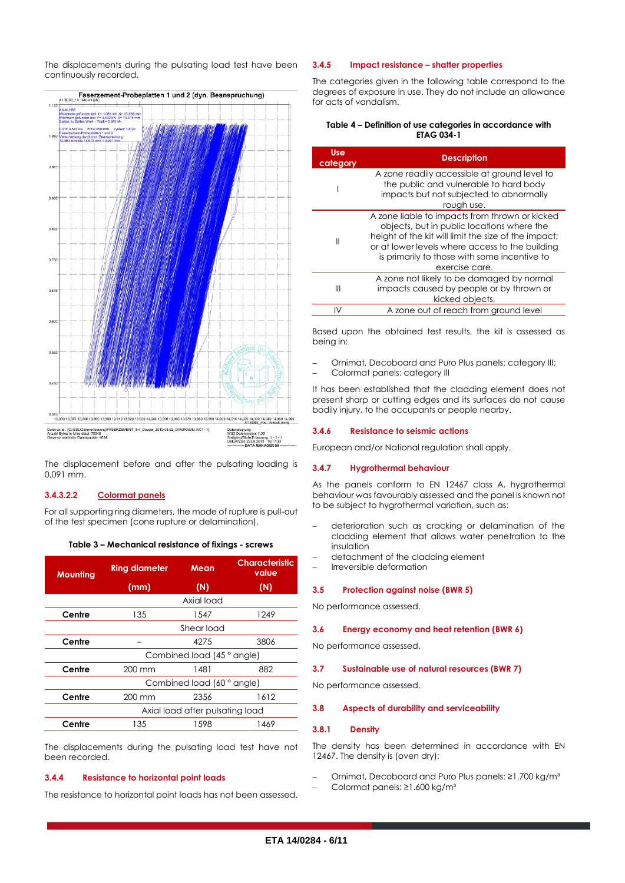The displacements during the pulsating load test have been continuously recorded.



The displacement before and after the pulsating loading is 0,091 mm.

#### **3.4.3.2.2 Colormat panels**

For all supporting ring diameters, the mode of rupture is pull-out of the test specimen (cone rupture or delamination).

| Table 3 - Mechanical resistance of fixings - screws |  |  |  |
|-----------------------------------------------------|--|--|--|
|-----------------------------------------------------|--|--|--|

| <b>Mounting</b> | <b>Ring diameter</b>            | Mean                       | <b>Characteristic</b><br>value |
|-----------------|---------------------------------|----------------------------|--------------------------------|
|                 | (mm)                            | (N)                        | (N)                            |
|                 |                                 | Axial load                 |                                |
| Centre          | 135                             | 1547                       | 1249                           |
|                 | Shear load                      |                            |                                |
| Centre          |                                 | 4275                       | 3806                           |
|                 |                                 | Combined load (45 ° angle) |                                |
| Centre          | $200 \text{ mm}$                | 1481                       | 882                            |
|                 | Combined load (60 ° angle)      |                            |                                |
| Centre          | $200 \text{ mm}$                | 2356                       | 1612                           |
|                 | Axial load after pulsating load |                            |                                |
| Centre          | 135                             | 1598                       | 1469                           |

The displacements during the pulsating load test have not been recorded.

#### **3.4.4 Resistance to horizontal point loads**

The resistance to horizontal point loads has not been assessed.

#### **3.4.5 Impact resistance – shatter properties**

The categories given in the following table correspond to the degrees of exposure in use. They do not include an allowance for acts of vandalism.

| Table 4 – Definition of use categories in accordance with |
|-----------------------------------------------------------|
| <b>ETAG 034-1</b>                                         |

| Use.<br>category | <b>Description</b>                                                                                                                                                                                                                                                        |
|------------------|---------------------------------------------------------------------------------------------------------------------------------------------------------------------------------------------------------------------------------------------------------------------------|
|                  | A zone readily accessible at ground level to<br>the public and vulnerable to hard body<br>impacts but not subjected to abnormally<br>rough use.                                                                                                                           |
| Ш                | A zone liable to impacts from thrown or kicked<br>objects, but in public locations where the<br>height of the kit will limit the size of the impact;<br>or at lower levels where access to the building<br>is primarily to those with some incentive to<br>exercise care. |
| Ш                | A zone not likely to be damaged by normal<br>impacts caused by people or by thrown or<br>kicked objects.                                                                                                                                                                  |
|                  | A zone out of reach from ground level                                                                                                                                                                                                                                     |

Based upon the obtained test results, the kit is assessed as being in:

- Ornimat, Decoboard and Puro Plus panels: category III;
- Colormat panels: category III

It has been established that the cladding element does not present sharp or cutting edges and its surfaces do not cause bodily injury, to the occupants or people nearby.

#### **3.4.6 Resistance to seismic actions**

European and/or National regulation shall apply.

#### **3.4.7 Hygrothermal behaviour**

As the panels conform to EN 12467 class A, hygrothermal behaviour was favourably assessed and the panel is known not to be subject to hygrothermal variation, such as:

- deterioration such as cracking or delamination of the cladding element that allows water penetration to the insulation
- detachment of the cladding element
- Irreversible deformation

#### **3.5 Protection against noise (BWR 5)**

No performance assessed.

#### **3.6 Energy economy and heat retention (BWR 6)**

No performance assessed.

#### **3.7 Sustainable use of natural resources (BWR 7)**

No performance assessed.

#### **3.8 Aspects of durability and serviceability**

#### **3.8.1 Density**

The density has been determined in accordance with EN 12467. The density is (oven dry):

- Ornimat, Decoboard and Puro Plus panels: ≥1.700 kg/m³
- Colormat panels: ≥1.600 kg/m³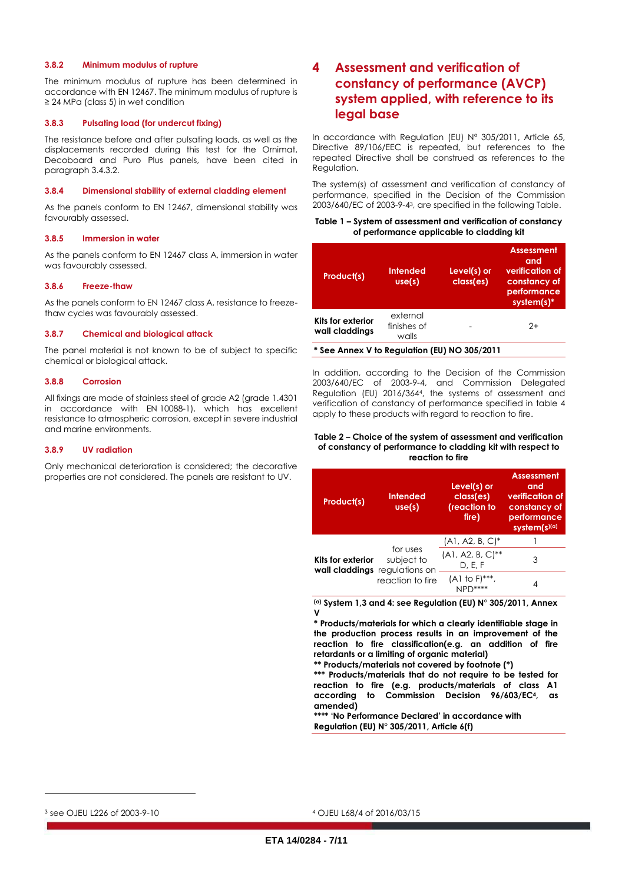#### **3.8.2 Minimum modulus of rupture**

The minimum modulus of rupture has been determined in accordance with EN 12467. The minimum modulus of rupture is ≥ 24 MPa (class 5) in wet condition

#### **3.8.3 Pulsating load (for undercut fixing)**

The resistance before and after pulsating loads, as well as the displacements recorded during this test for the Ornimat, Decoboard and Puro Plus panels, have been cited in paragrap[h 3.4.3.2.](#page-4-0)

#### **3.8.4 Dimensional stability of external cladding element**

As the panels conform to EN 12467, dimensional stability was favourably assessed.

#### **3.8.5 Immersion in water**

As the panels conform to EN 12467 class A, immersion in water was favourably assessed.

#### **3.8.6 Freeze-thaw**

As the panels conform to EN 12467 class A, resistance to freezethaw cycles was favourably assessed.

#### **3.8.7 Chemical and biological attack**

The panel material is not known to be of subject to specific chemical or biological attack.

#### **3.8.8 Corrosion**

All fixings are made of stainless steel of grade A2 (grade 1.4301 in accordance with EN 10088-1), which has excellent resistance to atmospheric corrosion, except in severe industrial and marine environments.

#### **3.8.9 UV radiation**

Only mechanical deterioration is considered; the decorative properties are not considered. The panels are resistant to UV.

# **4 Assessment and verification of constancy of performance (AVCP) system applied, with reference to its legal base**

In accordance with Regulation (EU) N° 305/2011, Article 65, Directive 89/106/EEC is repeated, but references to the repeated Directive shall be construed as references to the Regulation.

The system(s) of assessment and verification of constancy of performance, specified in the Decision of the Commission 2003/640/EC of 2003-9-43, are specified in the following Table.

#### **Table 1 – System of assessment and verification of constancy of performance applicable to cladding kit**

| Product(s)                          | Intended<br>use(s)               | Level(s) or<br>class(es) | <b>Assessment</b><br>and<br>verification of<br>constancy of<br>performance<br>system(s)* |
|-------------------------------------|----------------------------------|--------------------------|------------------------------------------------------------------------------------------|
| Kits for exterior<br>wall claddings | external<br>finishes of<br>walls |                          | 2+                                                                                       |

**\* See Annex V to Regulation (EU) NO 305/2011**

In addition, according to the Decision of the Commission 2003/640/EC of 2003-9-4, and Commission Delegated Regulation (EU) 2016/3644, the systems of assessment and verification of constancy of performance specified in table 4 apply to these products with regard to reaction to fire.

#### **Table 2 – Choice of the system of assessment and verification of constancy of performance to cladding kit with respect to reaction to fire**

| <b>Product(s)</b>                                  | <b>Intended</b><br>use(s) | Level(s) or<br>class(es)<br>(reaction to<br>fire) | <b>Assessment</b><br>and<br>verification of<br>constancy of<br>performance<br>system(s)(a) |
|----------------------------------------------------|---------------------------|---------------------------------------------------|--------------------------------------------------------------------------------------------|
| Kits for exterior<br>wall claddings requidtions on |                           | $(A1, A2, B, C)^*$                                |                                                                                            |
|                                                    | for uses<br>subject to    | $(A1, A2, B, C)$ **<br>D, E, F                    | 3                                                                                          |
|                                                    | reaction to fire          | $(A1 to F)***$                                    |                                                                                            |

**(a) System 1,3 and 4: see Regulation (EU) N° 305/2011, Annex V**

**\* Products/materials for which a clearly identifiable stage in the production process results in an improvement of the reaction to fire classification(e.g. an addition of fire retardants or a limiting of organic material)**

**\*\* Products/materials not covered by footnote (\*)**

**\*\*\* Products/materials that do not require to be tested for reaction to fire (e.g. products/materials of class A1 according to Commission Decision 96/603/EC4, as amended)**

**\*\*\*\* 'No Performance Declared' in accordance with Regulation (EU) N° 305/2011, Article 6(f)**

<sup>3</sup> see OJEU L226 of 2003-9-10

l

<sup>4</sup> OJEU L68/4 of 2016/03/15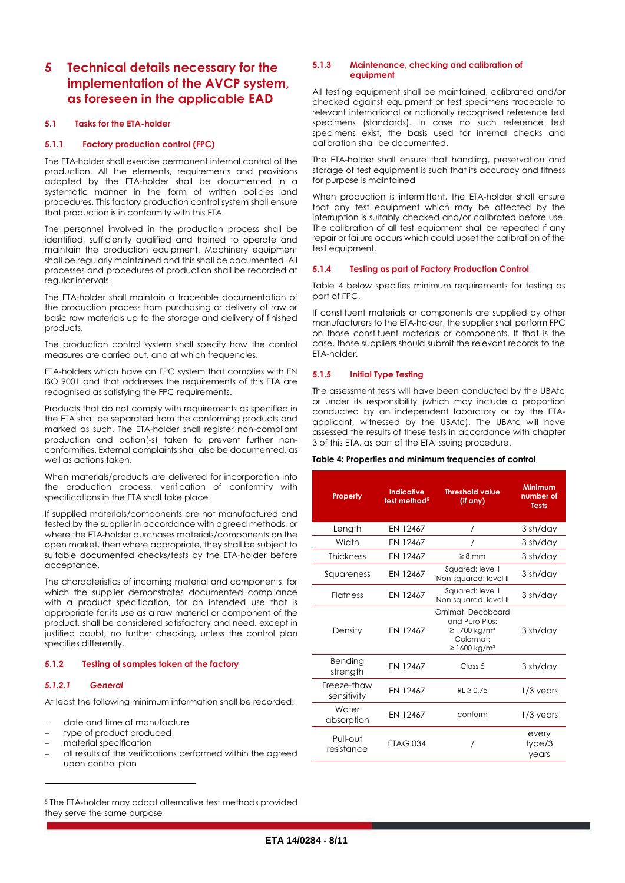# **5 Technical details necessary for the implementation of the AVCP system, as foreseen in the applicable EAD**

#### **5.1 Tasks for the ETA-holder**

#### **5.1.1 Factory production control (FPC)**

The ETA-holder shall exercise permanent internal control of the production. All the elements, requirements and provisions adopted by the ETA-holder shall be documented in a systematic manner in the form of written policies and procedures. This factory production control system shall ensure that production is in conformity with this ETA.

The personnel involved in the production process shall be identified, sufficiently qualified and trained to operate and maintain the production equipment. Machinery equipment shall be regularly maintained and this shall be documented. All processes and procedures of production shall be recorded at regular intervals.

The ETA-holder shall maintain a traceable documentation of the production process from purchasing or delivery of raw or basic raw materials up to the storage and delivery of finished products.

The production control system shall specify how the control measures are carried out, and at which frequencies.

ETA-holders which have an FPC system that complies with EN ISO 9001 and that addresses the requirements of this ETA are recognised as satisfying the FPC requirements.

Products that do not comply with requirements as specified in the ETA shall be separated from the conforming products and marked as such. The ETA-holder shall register non-compliant production and action(-s) taken to prevent further nonconformities. External complaints shall also be documented, as well as actions taken.

When materials/products are delivered for incorporation into the production process, verification of conformity with specifications in the ETA shall take place.

If supplied materials/components are not manufactured and tested by the supplier in accordance with agreed methods, or where the ETA-holder purchases materials/components on the open market, then where appropriate, they shall be subject to suitable documented checks/tests by the ETA-holder before acceptance.

The characteristics of incoming material and components, for which the supplier demonstrates documented compliance with a product specification, for an intended use that is appropriate for its use as a raw material or component of the product, shall be considered satisfactory and need, except in justified doubt, no further checking, unless the control plan specifies differently.

#### **5.1.2 Testing of samples taken at the factory**

#### *5.1.2.1 General*

 $\overline{a}$ 

At least the following minimum information shall be recorded:

- date and time of manufacture
- type of product produced
- material specification
- all results of the verifications performed within the agreed upon control plan

<sup>5</sup> The ETA-holder may adopt alternative test methods provided they serve the same purpose

#### **5.1.3 Maintenance, checking and calibration of equipment**

All testing equipment shall be maintained, calibrated and/or checked against equipment or test specimens traceable to relevant international or nationally recognised reference test specimens (standards). In case no such reference test specimens exist, the basis used for internal checks and calibration shall be documented.

The ETA-holder shall ensure that handling, preservation and storage of test equipment is such that its accuracy and fitness for purpose is maintained

When production is intermittent, the ETA-holder shall ensure that any test equipment which may be affected by the interruption is suitably checked and/or calibrated before use. The calibration of all test equipment shall be repeated if any repair or failure occurs which could upset the calibration of the test equipment.

#### **5.1.4 Testing as part of Factory Production Control**

Table 4 below specifies minimum requirements for testing as part of FPC.

If constituent materials or components are supplied by other manufacturers to the ETA-holder, the supplier shall perform FPC on those constituent materials or components. If that is the case, those suppliers should submit the relevant records to the ETA-holder.

#### **5.1.5 Initial Type Testing**

The assessment tests will have been conducted by the UBAtc or under its responsibility (which may include a proportion conducted by an independent laboratory or by the ETAapplicant, witnessed by the UBAtc). The UBAtc will have assessed the results of these tests in accordance with chapter 3 of this ETA, as part of the ETA issuing procedure.

#### **Table 4: Properties and minimum frequencies of control**

| Property                   | Indicative<br>test method <sup>5</sup> | <b>Threshold value</b><br>$(if$ any)                                                                                | <b>Minimum</b><br>number of<br><b>Tests</b> |
|----------------------------|----------------------------------------|---------------------------------------------------------------------------------------------------------------------|---------------------------------------------|
| Length                     | EN 12467                               | $\prime$                                                                                                            | 3 sh/day                                    |
| Width                      | EN 12467                               |                                                                                                                     | 3 sh/day                                    |
| <b>Thickness</b>           | EN 12467                               | $\geq 8$ mm                                                                                                         | 3 sh/day                                    |
| Squareness                 | EN 12467                               | Squared: level I<br>Non-squared: level II                                                                           | 3 sh/day                                    |
| <b>Flatness</b>            | EN 12467                               | Squared: level I<br>Non-squared: level II                                                                           | 3 sh/day                                    |
| Density                    | EN 12467                               | Ornimat, Decoboard<br>and Puro Plus:<br>$\geq$ 1700 kg/m <sup>3</sup><br>Colormat:<br>$\geq 1600$ kg/m <sup>3</sup> | 3 sh/day                                    |
| Bending<br>strength        | <b>FN 12467</b>                        | Class <sub>5</sub>                                                                                                  | 3 sh/day                                    |
| Freeze-thaw<br>sensitivity | EN 12467                               | $RL \ge 0.75$                                                                                                       | 1/3 years                                   |
| Water<br>absorption        | <b>FN 12467</b>                        | conform                                                                                                             | $1/3$ years                                 |
| Pull-out<br>resistance     | <b>ETAG 034</b>                        |                                                                                                                     | every<br>type/3<br>years                    |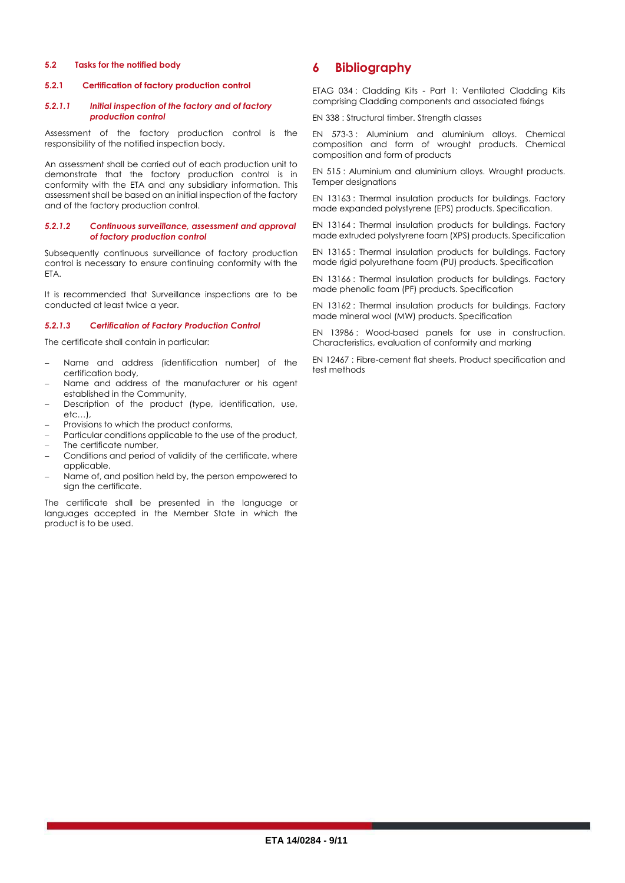#### **5.2 Tasks for the notified body**

#### **5.2.1 Certification of factory production control**

#### *5.2.1.1 Initial inspection of the factory and of factory production control*

Assessment of the factory production control is the responsibility of the notified inspection body.

An assessment shall be carried out of each production unit to demonstrate that the factory production control is in conformity with the ETA and any subsidiary information. This assessment shall be based on an initial inspection of the factory and of the factory production control.

#### *5.2.1.2 Continuous surveillance, assessment and approval of factory production control*

Subsequently continuous surveillance of factory production control is necessary to ensure continuing conformity with the ETA.

It is recommended that Surveillance inspections are to be conducted at least twice a year.

#### *5.2.1.3 Certification of Factory Production Control*

The certificate shall contain in particular:

- Name and address (identification number) of the certification body,
- Name and address of the manufacturer or his agent established in the Community,
- Description of the product (type, identification, use, etc…),
- Provisions to which the product conforms,
- Particular conditions applicable to the use of the product,
- The certificate number,
- Conditions and period of validity of the certificate, where applicable,
- Name of, and position held by, the person empowered to sian the certificate.

The certificate shall be presented in the language or languages accepted in the Member State in which the product is to be used.

## **6 Bibliography**

ETAG 034 : Cladding Kits - Part 1: Ventilated Cladding Kits comprising Cladding components and associated fixings

EN 338 : Structural timber. Strength classes

EN 573-3 : Aluminium and aluminium alloys. Chemical composition and form of wrought products. Chemical composition and form of products

EN 515 : Aluminium and aluminium alloys. Wrought products. Temper designations

EN 13163 : Thermal insulation products for buildings. Factory made expanded polystyrene (EPS) products. Specification.

EN 13164 : Thermal insulation products for buildings. Factory made extruded polystyrene foam (XPS) products. Specification

EN 13165 : Thermal insulation products for buildings. Factory made rigid polyurethane foam (PU) products. Specification

EN 13166 : Thermal insulation products for buildings. Factory made phenolic foam (PF) products. Specification

EN 13162 : Thermal insulation products for buildings. Factory made mineral wool (MW) products. Specification

EN 13986 : Wood-based panels for use in construction. Characteristics, evaluation of conformity and marking

EN 12467 : Fibre-cement flat sheets. Product specification and test methods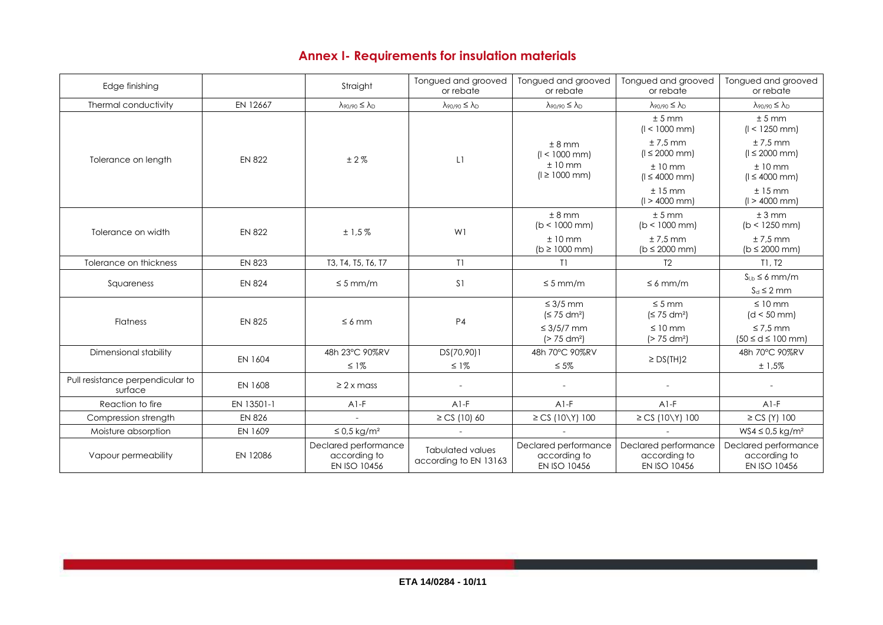# **Annex I- Requirements for insulation materials**

| Edge finishing                              |               | Straight                                             | Tongued and grooved<br>or rebate                 | Tongued and grooved<br>or rebate                           | Tongued and grooved<br>or rebate                     | Tongued and grooved<br>or rebate                     |
|---------------------------------------------|---------------|------------------------------------------------------|--------------------------------------------------|------------------------------------------------------------|------------------------------------------------------|------------------------------------------------------|
| Thermal conductivity                        | EN 12667      | $\lambda$ 90/90 $\leq \lambda_{D}$                   | $\lambda_{90/90} \leq \lambda_{D}$               | $\lambda$ 90/90 $\leq \lambda_{D}$                         | $\lambda_{90/90} \leq \lambda_D$                     | $\lambda_{90/90} \leq \lambda_D$                     |
| Tolerance on length                         | <b>EN 822</b> | ±2%                                                  | L1                                               | ± 8 mm<br>$(1 < 1000$ mm)<br>$±10$ mm<br>$(l \ge 1000$ mm) | ± 5 mm<br>$(1 < 1000$ mm)                            | ± 5 mm<br>$(1 < 1250$ mm)                            |
|                                             |               |                                                      |                                                  |                                                            | $± 7.5$ mm<br>$(1 \le 2000$ mm)                      | $± 7.5$ mm<br>$(1 \le 2000$ mm)                      |
|                                             |               |                                                      |                                                  |                                                            | $±10$ mm<br>$(1 \le 4000$ mm)                        | $±10$ mm<br>$(1 \le 4000$ mm)                        |
|                                             |               |                                                      |                                                  |                                                            | $±15$ mm<br>$(1 > 4000$ mm)                          | $±15$ mm<br>$(1 > 4000$ mm)                          |
| Tolerance on width                          | <b>EN 822</b> | ±1,5%                                                | W1                                               | ± 8 mm<br>$(b < 1000$ mm)                                  | ± 5 mm<br>$(b < 1000$ mm)                            | ± 3 mm<br>$(b < 1250$ mm)                            |
|                                             |               |                                                      |                                                  | $±10$ mm<br>$(b \ge 1000$ mm)                              | $± 7.5$ mm<br>$(b \le 2000$ mm)                      | $± 7.5$ mm<br>$(b \le 2000$ mm)                      |
| Tolerance on thickness                      | <b>EN 823</b> | T3, T4, T5, T6, T7                                   | T1                                               | T1                                                         | T <sub>2</sub>                                       | T1. T2                                               |
| Squareness                                  | <b>EN 824</b> | $\leq 5$ mm/m                                        | S <sub>1</sub>                                   | $\leq$ 5 mm/m                                              | $\leq 6$ mm/m                                        | $S_{\text{LB}} \leq 6$ mm/m<br>$S_d \leq 2$ mm       |
| <b>Flatness</b>                             | <b>EN 825</b> | $\leq 6$ mm                                          | P4                                               | $\leq$ 3/5 mm<br>(S 75 dm <sup>2</sup> )                   | $\leq$ 5 mm<br>≤ 75 dm²)                             | $\leq 10$ mm<br>$(d < 50$ mm)                        |
|                                             |               |                                                      |                                                  | ≤ 3/5/7 mm<br>$(> 75$ dm <sup>2</sup> )                    | $\leq 10$ mm<br>(> 75 dm <sup>2</sup> )              | $\leq$ 7.5 mm<br>$(50 \le d \le 100$ mm)             |
| Dimensional stability                       | EN 1604       | 48h 23°C 90%RV                                       | DS(70,90)1                                       | 48h 70°C 90%RV                                             | $\geq DS$ (TH)2                                      | 48h 70°C 90%RV                                       |
|                                             |               | $\leq$ 1%                                            | $\leq$ 1%                                        | $\leq 5\%$                                                 |                                                      | ±1,5%                                                |
| Pull resistance perpendicular to<br>surface | EN 1608       | $\geq$ 2 x mass                                      | $\overline{a}$                                   |                                                            |                                                      |                                                      |
| Reaction to fire                            | EN 13501-1    | $A1-F$                                               | $A1-F$                                           | $A1-F$                                                     | $A1-F$                                               | $A1-F$                                               |
| Compression strength                        | <b>EN 826</b> |                                                      | $\geq$ CS (10) 60                                | $\geq$ CS (10\Y) 100                                       | $\geq$ CS (10\Y) 100                                 | $\geq$ CS (Y) 100                                    |
| Moisture absorption                         | EN 1609       | $\leq$ 0,5 kg/m <sup>2</sup>                         | $\overline{a}$                                   |                                                            |                                                      | WS4 ≤ 0.5 kg/m <sup>2</sup>                          |
| Vapour permeability                         | EN 12086      | Declared performance<br>according to<br>EN ISO 10456 | <b>Tabulated values</b><br>according to EN 13163 | Declared performance<br>according to<br>EN ISO 10456       | Declared performance<br>according to<br>EN ISO 10456 | Declared performance<br>according to<br>EN ISO 10456 |